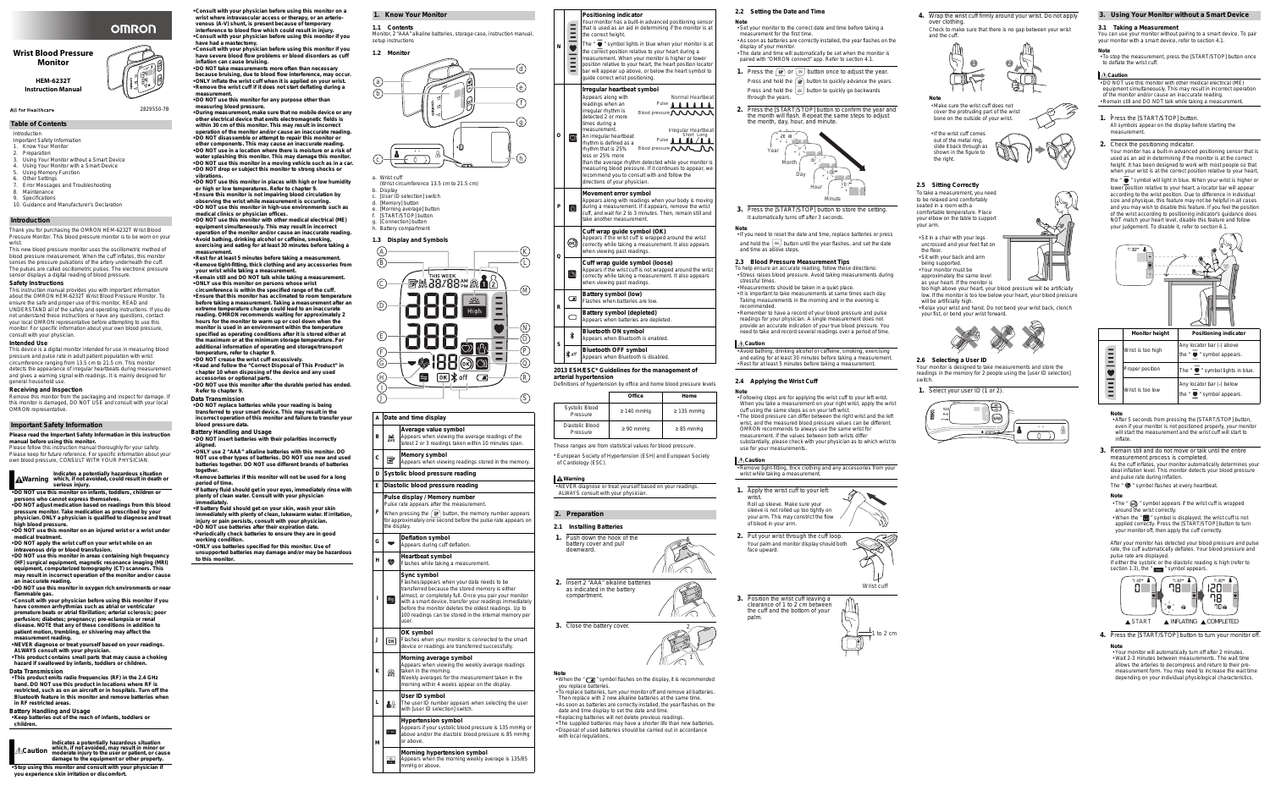Introduction

Important Safety Information

- 1. Know Your Monitor
- Preparation 3. Using Your Monitor without a Smart Device
- 4. Using Your Monitor with a Smart Device
- 5. Using Memory Function
- **Other Settings** 7. Error Messages and Troubleshooting
- 8. Maintenance
- 9. Specifications
- 10. Guidance and Manufacturer's Declaration

Thank you for purchasing the OMRON HEM-6232T Wrist Blood Pressure Monitor. This blood pressure monitor is to be worn on your wrist.

This new blood pressure monitor uses the oscillometric method of blood pressure measurement. When the cuff inflates, this monitor senses the pressure pulsations of the artery underneath the cuff. The pulses are called oscillometric pulses. The electronic pressure sensor displays a digital reading of blood pressure.

### **Safety Instructions**

This instruction manual provides you with important information about the OMRON HEM-6232T Wrist Blood Pressure Monitor. To ensure the safe and proper use of this monitor, READ and UNDERSTAND all of the safety and operating instructions. If you do not understand these instructions or have any questions, contact your local OMRON representative before attempting to use this monitor. For specific information about your own blood pressure, consult with your physician.

### **Intended Use**

This device is a digital monitor intended for use in measuring blood pressure and pulse rate in adult patient population with wrist circumference ranging from 13.5 cm to 21.5 cm. This monitor detects the appearance of irregular heartbeats during measurement and gives a warning signal with readings. It is mainly designed for general household use.

### **Receiving and Inspection**

Remove this monitor from the packaging and inspect for damage. If this monitor is damaged, DO NOT USE and consult with your local OMRON representative.

**Please read the Important Safety Information in this instruction manual before using this monitor.** Please follow this instruction manual thoroughly for your safety.

Please keep for future reference. For specific information about your own blood pressure, CONSULT WITH YOUR PHYSICIAN.

**Warning which, if not avoided, could result in death or Indicates a potentially hazardous situation serious injury.**

**• DO NOT use this monitor on infants, toddlers, children or persons who cannot express themselves.**

**• DO NOT adjust medication based on readings from this blood pressure monitor. Take medication as prescribed by your physician. ONLY a physician is qualified to diagnose and treat** 

**high blood pressure. • DO NOT use this monitor on an injured wrist or a wrist under medical treatment.**

**• DO NOT apply the wrist cuff on your wrist while on an intravenous drip or blood transfusion.**

**• DO NOT use this monitor in areas containing high frequency (HF) surgical equipment, magnetic resonance imaging (MRI) equipment, computerized tomography (CT) scanners. This may result in incorrect operation of the monitor and/or cause** 

**an inaccurate reading. • DO NOT use this monitor in oxygen rich environments or near flammable gas.**

**• Consult with your physician before using this monitor if you have common arrhythmias such as atrial or ventricular**  premature beats or atrial fibrillation; arterial sclerosis; poo **perfusion; diabetes; pregnancy; pre-eclampsia or renal disease. NOTE that any of these conditions in addition to patient motion, trembling, or shivering may affect the** 

**measurement reading. • NEVER diagnose or treat yourself based on your readings. ALWAYS consult with your physician.**

**• This product contains small parts that may cause a choking hazard if swallowed by infants, toddlers or children.**

### **Data Transmission**

**• This product emits radio frequencies (RF) in the 2.4 GHz band. DO NOT use this product in locations where RF is restricted, such as on an aircraft or in hospitals. Turn off the Bluetooth feature in this monitor and remove batteries when in RF restricted areas.**

### **Battery Handling and Usage**

**• Keep batteries out of the reach of infants, toddlers or children.** 

**Caution Indicates a potentially hazardous situation which, if not avoided, may result in minor or moderate injury to the user or patient, or cause damage to the equipment or other property.**

**• Stop using this monitor and consult with your physician if you experience skin irritation or discomfort.**

### **Wrist Blood Pressure Monitor**

**HEM-6232T Instruction Manual**



# **OMRON**

2829550-7B

### **Table of Contents**

### **Introduction**

### **Important Safety Information**

P  $\mathsf Q$ 

> • When the " $\leftarrow$ " symbol flashes on the display, it is recommended you replace batteries.

Your monitor has a built-in advanced positioning sensor that is used as an aid in determining if the monitor is at the correct height.

The "  $\bullet$  " symbol lights in blue when your monitor is at the correct position relative to your heart during a measurement. When your monitor is higher or lower position relative to your heart, the heart position locator bar will appear up above, or below the heart symbol to quide correct wrist positioning.

- **Consult with your physician before using this monitor on a wrist where intravascular access or therapy, or an arteriovenous (A-V) shunt, is present because of temporary interference to blood flow which could result in injury.**
- **Consult with your physician before using this monitor if you have had a mastectomy.**
- **Consult with your physician before using this monitor if you have severe blood flow problems or blood disorders as cuff inflation can cause bruising.**
- **DO NOT take measurements more often than necessary because bruising, due to blood flow interference, may occur. • ONLY inflate the wrist cuff when it is applied on your wrist. • Remove the wrist cuff if it does not start deflating during a**
- **measurement. • DO NOT use this monitor for any purpose other than**
- **measuring blood pressure. • During measurement, make sure that no mobile device or any**
- **other electrical device that emits electromagnetic fields is within 30 cm of this monitor. This may result in incorrect operation of the monitor and/or cause an inaccurate reading. • DO NOT disassemble or attempt to repair this monitor or**
- **other components. This may cause an inaccurate reading. • DO NOT use in a location where there is moisture or a risk of water splashing this monitor. This may damage this monitor. • DO NOT use this monitor in a moving vehicle such as in a car.**
- **DO NOT drop or subject this monitor to strong shocks or vibrations.**
- **DO NOT use this monitor in places with high or low humidity or high or low temperatures. Refer to chapter 9. • Ensure this monitor is not impairing blood circulation by**
- **observing the wrist while measurement is occurring. • DO NOT use this monitor in high-use environments such as**
- **medical clinics or physician offices. • DO NOT use this monitor with other medical electrical (ME)**
- **equipment simultaneously. This may result in incorrect operation of the monitor and/or cause an inaccurate reading. • Avoid bathing, drinking alcohol or caffeine, smoking, exercising and eating for at least 30 minutes before taking a**
- measurement **• Rest for at least 5 minutes before taking a measurement. • Remove tight-fitting, thick clothing and any accessories from**
- **your wrist while taking a measurement. • Remain still and DO NOT talk while taking a measurement. • ONLY use this monitor on persons whose wrist**
- **circumference is within the specified range of the cuff. • Ensure that this monitor has acclimated to room temperature**
- **before taking a measurement. Taking a measurement after an extreme temperature change could lead to an inaccurate reading. OMRON recommends waiting for approximately 2 hours for the monitor to warm up or cool down when the monitor is used in an environment within the temperature specified as operating conditions after it is stored either at the maximum or at the minimum storage temperature. For additional information of operating and storage/transport temperature, refer to chapter 9.**
- **DO NOT crease the wrist cuff excessively.**
- **Read and follow the "Correct Disposal of This Product" in chapter 10 when disposing of the device and any used accessories or optional parts.**
- **DO NOT use this monitor after the durable period has ended. Refer to chapter 9.**
- **Data Transmission**
- **DO NOT replace batteries while your reading is being transferred to your smart device. This may result in the incorrect operation of this monitor and failure to transfer your**

Appears if the wrist cuff is not wrapped around the wrist correctly while taking a measurement. It also appears when viewing past readings.

**3.** Press the [START/STOP] button to store the setting. It automatically turns off after 3 seconds

• If you need to reset the date and time, replace batteries or press and hold the  $\left\lfloor \frac{3k}{2} \right\rfloor$  button until the year flashes, and set the date and time as above steps

### **blood pressure data.**

- **Battery Handling and Usage • DO NOT insert batteries with their polarities incorrectly**
- **aligned. • ONLY use 2 "AAA" alkaline batteries with this monitor. DO NOT use other types of batteries. DO NOT use new and used batteries together. DO NOT use different brands of batteries**
- **together. • Remove batteries if this monitor will not be used for a long**
- **period of time. • If battery fluid should get in your eyes, immediately rinse with**
- **plenty of clean water. Consult with your physician immediately.**
- **If battery fluid should get on your skin, wash your skin immediately with plenty of clean, lukewarm water. If irritation, injury or pain persists, consult with your physician.**
- **DO NOT use batteries after their expiration date. • Periodically check batteries to ensure they are in good**
- **working condition. • ONLY use batteries specified for this monitor. Use of**

**3.** Position the wrist cuff leaving a r to z cm betwee the cuff and the bottom of your palm.

**unsupported batteries may damage and/or may be hazardous to this monitor.**

### **1.1 Contents**

### Monitor, 2 "AAA" alkaline batteries, storage case, instruction manual, setup instructions



- (Wrist circumference 13.5 cm to 21.5 cm)
- b. Display
- c. [User ID selection] switch d. [Memory] button
- e. [Morning average] button
- f. [START/STOP] button
- g. [Connection] button
- h. Battery compartment

### **1.3 Display and Symbols**

**1. Know Your Monitor**



- **B Average value symbol**  $\frac{m}{\Delta V G}$  | Appears when viewing the average readings of the atest 2 or 3 readings taken within 10 minutes span.
- 
- **C**  $\mathbb{R}$  **Memory symbol**<br>
Appears when viewing readings stored in the memory.
- **D Systolic blood pressure reading**
- **E Diastolic blood pressure reading**
- **Pulse display / Memory number**
- Pulse rate appears after the measuremen
- **F** When pressing the  $\sqrt{ \mid \mathbb{B} \mid}$  button, the memory number appears for approximately one second before the pulse rate appears on the display.
- **G Deflation symbol**
- Appears during cuff deflation. **H W Heartbeat symbol**<br>
Flashes while taking a measurement. **Sync symbol** Flashes/appears when your data needs to be transferred because the stored memory is either almost, or completely full. Once you pair your monitor  $\Rightarrow$ **I** with a smart device, transfer your readings immediately before the monitor deletes the oldest readings. Up to 100 readings can be stored in the internal memory per user. **OK symbol OK** Flashes when your monitor is connected to the smart **J** device or readings are transferred successfully. **Morning average symbol** Appears when viewing the weekly average readings  $\frac{322}{\text{AVG}}$  taken in the morning. **K** Weekly averages for the measurement taken in the morning within 4 weeks appear on the display. **User ID symbol**  $\begin{bmatrix} \mathbf{a}_{\Omega} \end{bmatrix}$  The user ID number appears when selecting the user **L** with [user ID selection] switch.



**3. Using Your Monitor without a Smart Device 3.1 Taking a Measurement** You can use your monitor without pairing to a smart device. To pair your monitor with a smart device, refer to section 4.1. **Note** • To stop the measurement, press the [START/STOP] button once to deflate the wrist cuff. **Caution** • DO NOT use this monitor with other medical electrical (ME) equipment simultaneously. This may result in incorrect operation of the monitor and/or cause an inaccurate reading. • Remain still and DO NOT talk while taking a measurement. **1.** Press the [START/STOP] button. All symbols appear on the display before starting the measurement. **2.** Check the positioning indicator. Your monitor has a built-in advanced positioning sensor that is used as an aid in determining if the monitor is at the correct height. It has been designed to work with most people so that when your wrist is at the correct position relative to your heart, the "  $\bullet$  " symbol will light in blue. When your wrist is higher or lower position relative to your heart, a locator bar will appear according to the wrist position. Due to difference in individual size and physique, this feature may not be helpful in all cases and you may wish to disable this feature. If you feel the position of the wrist according to positioning indicator's guidance does NOT match your heart level, disable this feature and follow your judgement. To disable it, refer to section 6.1. **Ming indicator** bar (-) above Wrist is too high nbol appears. *r*mbol lights in blue. bar (-) below Wrist is too low mbol appears. **Note** • After 5 seconds from pressing the [START/STOP] button, even if your monitor is not positioned properly, your monitor will start the measurement and the wrist cuff will start to inflate. **3.** Remain still and do not move or talk until the entire measurement process is completed. As the cuff inflates, your monitor automatically determines your ideal inflation level. This monitor detects your blood pressure and pulse rate during inflation. The "  $\bullet$  " symbol flashes at every heartbeat. **Note** • The "  $\omega$  " symbol appears if the wrist cuff is wrapped around the wrist correctly. • When the "  $\odot$ " symbol is displayed, the wrist cuff is not applied correctly. Press the [START/STOP] button to turn your monitor off, then apply the cuff correctly. After your monitor has detected your blood pressure and pulse rate, the cuff automatically deflates. Your blood pressure and pulse rate are displayed. If either the systolic or the diastolic reading is high (refer to section 1.3), the " $\frac{1}{2}$  mg  $\frac{1}{2}$ " symbol appears. 78 78 A START A INFLATING A COMPLETED

- 
- 



|          | <b>Monitor height</b> | <b>Positic</b>                           |
|----------|-----------------------|------------------------------------------|
| $\equiv$ | Wrist is too high     | Any locator <b>b</b><br>" syl<br>the " ♥ |
|          | Proper position       | The " $\bullet$<br>S)                    |
| $\equiv$ | Wrist is too low      | Any locator <b>b</b><br>" syl<br>the     |

**M**

**High** 

# **Hypertension symbol**

Appears if your systolic blood pressure is 135 mmHg or above and/or the diastolic blood pressure is 85 mmHg

or above.

**Morning hypertension symbol**

 $\frac{26}{100}$  Appears when the morning weekly average is 135/85

mmHg or above.

L K

 $\overline{O}$ 

S

N

R

### **2013 ESH/ESC\* Guidelines for the management of arterial hypertension**

These ranges are from statistical values for blood pressure.

**Warning**

• NEVER diagnose or treat yourself based on your readings. ALWAYS consult with your physician.

### **2.1 Installing Batteries**



downward.

**2.** Insert 2 "AAA" alkaline batteries as indicated in the battery

compartment.

**3.** Close the battery cover.

**Note**

- To replace batteries, turn your monitor off and remove all batteries. Then replace with 2 new alkaline batteries at the same time. • As soon as batteries are correctly installed, the year flashes on the
- date and time display to set the date and time. • Replacing batteries will not delete previous readings. • The supplied batteries may have a shorter life than new batteries.
- Disposal of used batteries should be carried out in accordance with local regulations.

**N**

 $\bullet$ 

### **Positioning indicator**

| Definitions of hypertension by office and home blood pressure levels |                 |                 |
|----------------------------------------------------------------------|-----------------|-----------------|
|                                                                      | Office          | Home            |
| Systolic Blood<br>Pressure                                           | $\geq$ 140 mmHq | $\geq$ 135 mmHq |
| Diastolic Blood<br>Pressure                                          | $\geq 90$ mmHq  | $\geq$ 85 mmHq  |

**O**

### **Irregular heartbeat symbol**

than the average rhythm detected while your monitor is measuring blood pressure. If it continues to appear, we recommend you to consult with and follow the directions of your physician.

**P**

一个

 $\circledcirc$ 

 $\odot$ 

### **Movement error symbol**

Appears along with readings when your body is moving during a measurement. If it appears, remove the wrist cuff, and wait for 2 to 3 minutes. Then, remain still and take another measurement.

**Q**

### **Cuff wrap guide symbol (OK)**

| Appears along with  | Normal Heartbeat           |
|---------------------|----------------------------|
| readings when an    | Pulse <b>AAAAA</b>         |
| irregular rhythm is | Blood pressure <b>MMMM</b> |
| detected 2 or more  |                            |
| times during a      |                            |
| measurement.        | Irregular Heartbeat        |

Appears if the wrist cuff is wrapped around the wrist correctly while taking a measurement. It also appears when viewing past readings.

| $\bigcirc$ An irregular heartbeat<br>rhythm is defined as a | Pulse <b>A A A A A</b>     |
|-------------------------------------------------------------|----------------------------|
| rhythm that is 25%                                          | Blood pressure <b>MMMM</b> |
| less or 25% more                                            |                            |

### **Cuff wrap guide symbol (loose)**

**R**

### **Battery symbol (low)**

 $\begin{array}{|c|c|c|c|}\n\hline\n\text{Flashes when batteries are low.}\n\end{array}$ 

### **Battery symbol (depleted)**

Appears when batteries are depleted.

**S**

### **Bluetooth ON symbol** Appears when Bluetooth is enabled.

**Bluetooth OFF symbol**

### Appears when Bluetooth is disabled.

\* European Society of Hypertension (ESH) and European Society of Cardiology (ESC).

**2. Preparation**



 $M\rightarrow\infty$ 

### **2.2 Setting the Date and Time**

**Note** • Set your monitor to the correct date and time before taking a measurement for the first time.

- As soon as batteries are correctly installed, the year flashes on the display of your monitor. • The date and time will automatically be set when the monitor is
- paired with "OMRON connect" app. Refer to section 4.1.
- **1.** Press the  $\lceil \mathbf{F} \rceil$  or  $\lceil \mathbf{F} \rceil$  button once to adjust the year. Press and hold the  $\left\lceil \frac{p}{p} \right\rceil$  button to quickly advance the years. Press and hold the  $\left\lfloor \frac{3\pi}{2} \right\rfloor$  button to quickly go backwards through the years.
- **2.** Press the [START/STOP] button to confirm the year and the month will flash. Repeat the same steps to adjust the month, day, hour, and minute.

### **Note**

### **2.3 Blood Pressure Measurement Tips**

- To help ensure an accurate reading, follow these directions: • Stress raises blood pressure. Avoid taking measurements during stressful times.
- Measurements should be taken in a quiet place.
- It is important to take measurements at same times each day. Taking measurements in the morning and in the evening is recommended.
- Remember to have a record of your blood pressure and pulse readings for your physician. A single measurement does not provide an accurate indication of your true blood pressure. You need to take and record several readings over a period of time.

### **Caution**

• Avoid bathing, drinking alcohol or caffeine, smoking, exercising and eating for at least 30 minutes before taking a measurement. • Rest for at least 5 minutes before taking a measurement.

### **2.4 Applying the Wrist Cuff**

- **Note** • Following steps are for applying the wrist cuff to your left wrist.
- When you take a measurement on your right wrist, apply the wrist cuff using the same steps as on your left wrist. • The blood pressure can differ between the right wrist and the left wrist, and the measured blood pressure values can be different.
- OMRON recommends to always use the same wrist for measurement. If the values between both wrists differ substantially, please check with your physician as to which wrist to

use for your measurements.

### **Caution**

• Remove tight-fitting, thick clothing and any accessories from your wrist while taking a measurement.

- **1.** Apply the wrist cuff to your left wrist. Roll up sleeve. Make sure your sleeve is not rolled up too tightly on your arm. This may constrict the flow
- **2.** Put your wrist through the cuff loop. Your palm and monitor display should both face upward.

of blood in your arm.



Wrist cuff

1 to 2 cm

- **4.** Wrap the wrist cuff firmly around your wrist. Do not apply over clothing.
- Check to make sure that there is no gap between your wrist and the cuff.

**Note**

- Make sure the wrist cuff does not cover the protruding part of the wrist bone on the outside of your wrist.
- If the wrist cuff comes out of the metal ring, slide it back through as shown in the figure to the right.



To take a measurement, you need to be relaxed and comfortably seated in a room with a comfortable temperature. Place your elbow on the table to support

your arm.

• Sit in a chair with your legs

- uncrossed and your feet flat on the floor.
- Sit with your back and arm
- being supported. • Your monitor must be
- approximately the same level
- as your heart. If the monitor is too high above your heart, your blood pressure will be artificially
- low. If the monitor is too low below your heart, your blood pressure will be artificially high.
- Relax your wrist and hand. Do not bend your wrist back, clench your fist, or bend your wrist forward.

### **2.6 Selecting a User ID**

Your monitor is designed to take measurements and store the readings in the memory for 2 people using the [user ID selection] switch.

**1.** Select your user ID (1 or 2).





**4.** Press the [START/STOP] button to turn your monitor off.

**Note**

- 
- 

### • Your monitor will automatically turn off after 2 minutes. • Wait 2-3 minutes between measurements. The wait time allows the arteries to decompress and return to their premeasurement form. You may need to increase the wait time

depending on your individual physiological characteristics.